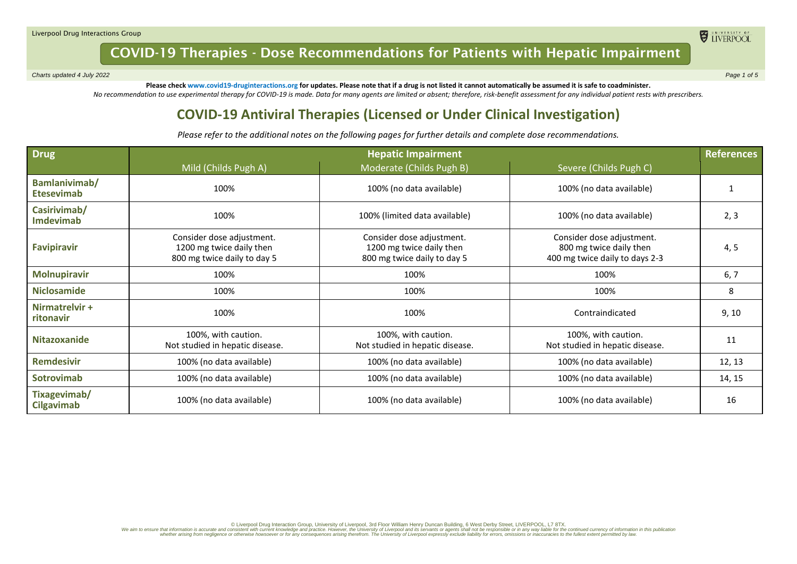*Charts updated 4 July 2022 Page 1 of 5*

ELIVERPOOL

**Please check www.covid19-druginteractions.org for updates. Please note that if a drug is not listed it cannot automatically be assumed it is safe to coadminister.**  *No recommendation to use experimental therapy for COVID-19 is made. Data for many agents are limited or absent; therefore, risk-benefit assessment for any individual patient rests with prescribers.*

### **COVID-19 Antiviral Therapies (Licensed or Under Clinical Investigation)**

*Please refer to the additional notes on the following pages for further details and complete dose recommendations.*

| Drug                               | <b>Hepatic Impairment</b>                                                            |                                                                                      |                                                                                        |        |
|------------------------------------|--------------------------------------------------------------------------------------|--------------------------------------------------------------------------------------|----------------------------------------------------------------------------------------|--------|
|                                    | Mild (Childs Pugh A)                                                                 | Moderate (Childs Pugh B)                                                             | Severe (Childs Pugh C)                                                                 |        |
| Bamlanivimab/<br><b>Etesevimab</b> | 100%                                                                                 | 100% (no data available)                                                             | 100% (no data available)                                                               |        |
| Casirivimab/<br><b>Imdevimab</b>   | 100%                                                                                 | 100% (limited data available)                                                        | 100% (no data available)                                                               | 2, 3   |
| <b>Favipiravir</b>                 | Consider dose adjustment.<br>1200 mg twice daily then<br>800 mg twice daily to day 5 | Consider dose adjustment.<br>1200 mg twice daily then<br>800 mg twice daily to day 5 | Consider dose adjustment.<br>800 mg twice daily then<br>400 mg twice daily to days 2-3 | 4, 5   |
| <b>Molnupiravir</b>                | 100%                                                                                 | 100%                                                                                 | 100%                                                                                   | 6, 7   |
| <b>Niclosamide</b>                 | 100%                                                                                 | 100%                                                                                 | 100%                                                                                   | 8      |
| Nirmatrelvir +<br><b>ritonavir</b> | 100%                                                                                 | 100%                                                                                 | Contraindicated                                                                        | 9, 10  |
| <b>Nitazoxanide</b>                | 100%, with caution.<br>Not studied in hepatic disease.                               | 100%, with caution.<br>Not studied in hepatic disease.                               | 100%, with caution.<br>Not studied in hepatic disease.                                 | 11     |
| <b>Remdesivir</b>                  | 100% (no data available)                                                             | 100% (no data available)                                                             | 100% (no data available)                                                               | 12, 13 |
| <b>Sotrovimab</b>                  | 100% (no data available)                                                             | 100% (no data available)                                                             | 100% (no data available)                                                               | 14, 15 |
| Tixagevimab/<br><b>Cilgavimab</b>  | 100% (no data available)                                                             | 100% (no data available)                                                             | 100% (no data available)                                                               | 16     |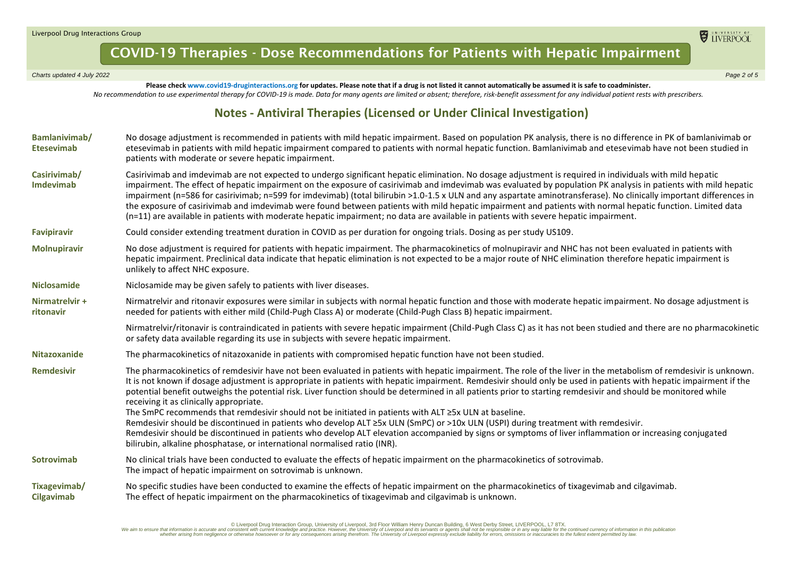*Charts updated 4 July 2022 Page 2 of 5*

**Please check www.covid19-druginteractions.org for updates. Please note that if a drug is not listed it cannot automatically be assumed it is safe to coadminister.**  *No recommendation to use experimental therapy for COVID-19 is made. Data for many agents are limited or absent; therefore, risk-benefit assessment for any individual patient rests with prescribers.*

#### **Notes - Antiviral Therapies (Licensed or Under Clinical Investigation)**

| Bamlanivimab/<br><b>Etesevimab</b> | No dosage adjustment is recommended in patients with mild hepatic impairment. Based on population PK analysis, there is no difference in PK of bamlanivimab or<br>etesevimab in patients with mild hepatic impairment compared to patients with normal hepatic function. Bamlanivimab and etesevimab have not been studied in<br>patients with moderate or severe hepatic impairment.                                                                                                                                                                                                                                                                                                                                                                                                                    |
|------------------------------------|----------------------------------------------------------------------------------------------------------------------------------------------------------------------------------------------------------------------------------------------------------------------------------------------------------------------------------------------------------------------------------------------------------------------------------------------------------------------------------------------------------------------------------------------------------------------------------------------------------------------------------------------------------------------------------------------------------------------------------------------------------------------------------------------------------|
| Casirivimab/<br>Imdevimab          | Casirivimab and imdevimab are not expected to undergo significant hepatic elimination. No dosage adjustment is required in individuals with mild hepatic<br>impairment. The effect of hepatic impairment on the exposure of casirivimab and imdevimab was evaluated by population PK analysis in patients with mild hepatic<br>impairment (n=586 for casirivimab; n=599 for imdevimab) (total bilirubin >1.0-1.5 x ULN and any aspartate aminotransferase). No clinically important differences in<br>the exposure of casirivimab and imdevimab were found between patients with mild hepatic impairment and patients with normal hepatic function. Limited data<br>(n=11) are available in patients with moderate hepatic impairment; no data are available in patients with severe hepatic impairment. |
| <b>Favipiravir</b>                 | Could consider extending treatment duration in COVID as per duration for ongoing trials. Dosing as per study US109.                                                                                                                                                                                                                                                                                                                                                                                                                                                                                                                                                                                                                                                                                      |
| <b>Molnupiravir</b>                | No dose adjustment is required for patients with hepatic impairment. The pharmacokinetics of molnupiravir and NHC has not been evaluated in patients with<br>hepatic impairment. Preclinical data indicate that hepatic elimination is not expected to be a major route of NHC elimination therefore hepatic impairment is<br>unlikely to affect NHC exposure.                                                                                                                                                                                                                                                                                                                                                                                                                                           |
| <b>Niclosamide</b>                 | Niclosamide may be given safely to patients with liver diseases.                                                                                                                                                                                                                                                                                                                                                                                                                                                                                                                                                                                                                                                                                                                                         |
| Nirmatrelvir +<br>ritonavir        | Nirmatrelvir and ritonavir exposures were similar in subjects with normal hepatic function and those with moderate hepatic impairment. No dosage adjustment is<br>needed for patients with either mild (Child-Pugh Class A) or moderate (Child-Pugh Class B) hepatic impairment.                                                                                                                                                                                                                                                                                                                                                                                                                                                                                                                         |
|                                    | Nirmatrelvir/ritonavir is contraindicated in patients with severe hepatic impairment (Child-Pugh Class C) as it has not been studied and there are no pharmacokinetic<br>or safety data available regarding its use in subjects with severe hepatic impairment.                                                                                                                                                                                                                                                                                                                                                                                                                                                                                                                                          |
| <b>Nitazoxanide</b>                | The pharmacokinetics of nitazoxanide in patients with compromised hepatic function have not been studied.                                                                                                                                                                                                                                                                                                                                                                                                                                                                                                                                                                                                                                                                                                |
| <b>Remdesivir</b>                  | The pharmacokinetics of remdesivir have not been evaluated in patients with hepatic impairment. The role of the liver in the metabolism of remdesivir is unknown.<br>It is not known if dosage adjustment is appropriate in patients with hepatic impairment. Remdesivir should only be used in patients with hepatic impairment if the<br>potential benefit outweighs the potential risk. Liver function should be determined in all patients prior to starting remdesivir and should be monitored while<br>receiving it as clinically appropriate.<br>The SmPC recommends that remdesivir should not be initiated in patients with ALT ≥5x ULN at baseline.                                                                                                                                            |
|                                    | Remdesivir should be discontinued in patients who develop ALT ≥5x ULN (SmPC) or >10x ULN (USPI) during treatment with remdesivir.                                                                                                                                                                                                                                                                                                                                                                                                                                                                                                                                                                                                                                                                        |
|                                    | Remdesivir should be discontinued in patients who develop ALT elevation accompanied by signs or symptoms of liver inflammation or increasing conjugated<br>bilirubin, alkaline phosphatase, or international normalised ratio (INR).                                                                                                                                                                                                                                                                                                                                                                                                                                                                                                                                                                     |
| <b>Sotrovimab</b>                  | No clinical trials have been conducted to evaluate the effects of hepatic impairment on the pharmacokinetics of sotrovimab.<br>The impact of hepatic impairment on sotrovimab is unknown.                                                                                                                                                                                                                                                                                                                                                                                                                                                                                                                                                                                                                |
| Tixagevimab/<br><b>Cilgavimab</b>  | No specific studies have been conducted to examine the effects of hepatic impairment on the pharmacokinetics of tixagevimab and cilgavimab.<br>The effect of hepatic impairment on the pharmacokinetics of tixagevimab and cilgavimab is unknown.                                                                                                                                                                                                                                                                                                                                                                                                                                                                                                                                                        |

Diverpool Drug Interaction Group, University of Liverpool, 3rd Floor William Henry Duncan Building, 6 West Derby Street, LIVERPOOL, L7 8TX. [76TX] and the construction in this publication in this publication in this public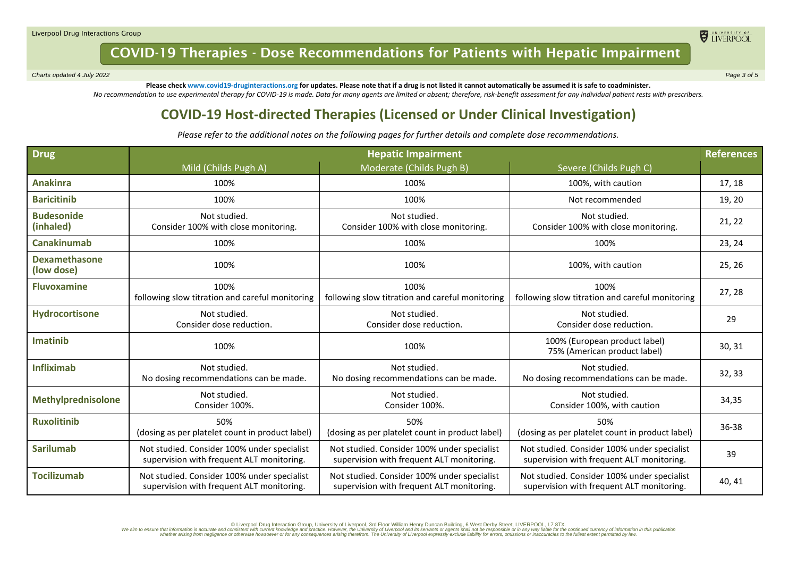*Charts updated 4 July 2022 Page 3 of 5*

ELIVERPOOL

**Please check www.covid19-druginteractions.org for updates. Please note that if a drug is not listed it cannot automatically be assumed it is safe to coadminister.**  *No recommendation to use experimental therapy for COVID-19 is made. Data for many agents are limited or absent; therefore, risk-benefit assessment for any individual patient rests with prescribers.*

### **COVID-19 Host-directed Therapies (Licensed or Under Clinical Investigation)**

*Please refer to the additional notes on the following pages for further details and complete dose recommendations.*

| Drug                               | <b>Hepatic Impairment</b>                                                                |                                                                                          |                                                                                          | <b>References</b> |
|------------------------------------|------------------------------------------------------------------------------------------|------------------------------------------------------------------------------------------|------------------------------------------------------------------------------------------|-------------------|
|                                    | Mild (Childs Pugh A)                                                                     | Moderate (Childs Pugh B)                                                                 | Severe (Childs Pugh C)                                                                   |                   |
| <b>Anakinra</b>                    | 100%                                                                                     | 100%                                                                                     | 100%, with caution                                                                       | 17, 18            |
| <b>Baricitinib</b>                 | 100%                                                                                     | 100%                                                                                     | Not recommended                                                                          | 19, 20            |
| <b>Budesonide</b><br>(inhaled)     | Not studied.<br>Consider 100% with close monitoring.                                     | Not studied.<br>Consider 100% with close monitoring.                                     | Not studied.<br>Consider 100% with close monitoring.                                     | 21, 22            |
| <b>Canakinumab</b>                 | 100%                                                                                     | 100%                                                                                     | 100%                                                                                     | 23, 24            |
| <b>Dexamethasone</b><br>(low dose) | 100%                                                                                     | 100%                                                                                     | 100%, with caution                                                                       | 25, 26            |
| <b>Fluvoxamine</b>                 | 100%<br>following slow titration and careful monitoring                                  | 100%<br>following slow titration and careful monitoring                                  | 100%<br>following slow titration and careful monitoring                                  | 27, 28            |
| Hydrocortisone                     | Not studied.<br>Consider dose reduction.                                                 | Not studied.<br>Consider dose reduction.                                                 | Not studied.<br>Consider dose reduction.                                                 | 29                |
| <b>Imatinib</b>                    | 100%                                                                                     | 100%                                                                                     | 100% (European product label)<br>75% (American product label)                            | 30, 31            |
| <b>Infliximab</b>                  | Not studied.<br>No dosing recommendations can be made.                                   | Not studied.<br>No dosing recommendations can be made.                                   | Not studied.<br>No dosing recommendations can be made.                                   | 32, 33            |
| <b>Methylprednisolone</b>          | Not studied.<br>Consider 100%.                                                           | Not studied.<br>Consider 100%.                                                           | Not studied.<br>Consider 100%, with caution                                              | 34,35             |
| <b>Ruxolitinib</b>                 | 50%<br>(dosing as per platelet count in product label)                                   | 50%<br>(dosing as per platelet count in product label)                                   | 50%<br>(dosing as per platelet count in product label)                                   | 36-38             |
| <b>Sarilumab</b>                   | Not studied. Consider 100% under specialist<br>supervision with frequent ALT monitoring. | Not studied. Consider 100% under specialist<br>supervision with frequent ALT monitoring. | Not studied. Consider 100% under specialist<br>supervision with frequent ALT monitoring. | 39                |
| <b>Tocilizumab</b>                 | Not studied. Consider 100% under specialist<br>supervision with frequent ALT monitoring. | Not studied. Consider 100% under specialist<br>supervision with frequent ALT monitoring. | Not studied. Consider 100% under specialist<br>supervision with frequent ALT monitoring. | 40, 41            |

Diverpool Drug Interaction Group, University of Liverpool, 3rd Floor William Henry Duncan Building, 6 West Derby Street, LIVERPOOL, L7 8TX. [76TX] and the construction in this publication in this publication in this public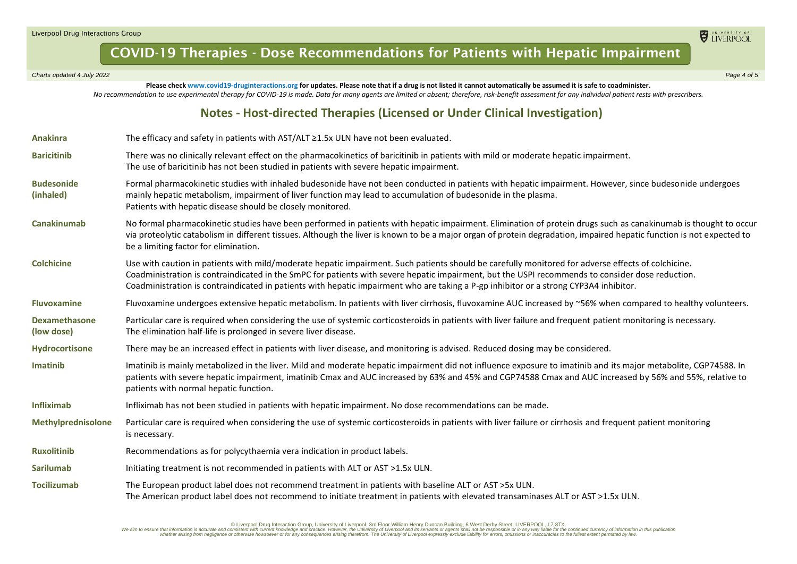*Charts updated 4 July 2022 Page 4 of 5*

**Please check www.covid19-druginteractions.org for updates. Please note that if a drug is not listed it cannot automatically be assumed it is safe to coadminister.**  *No recommendation to use experimental therapy for COVID-19 is made. Data for many agents are limited or absent; therefore, risk-benefit assessment for any individual patient rests with prescribers.*

#### **Notes - Host-directed Therapies (Licensed or Under Clinical Investigation)**

| <b>Anakinra</b>                    | The efficacy and safety in patients with AST/ALT ≥1.5x ULN have not been evaluated.                                                                                                                                                                                                                                                                                                                                                             |  |
|------------------------------------|-------------------------------------------------------------------------------------------------------------------------------------------------------------------------------------------------------------------------------------------------------------------------------------------------------------------------------------------------------------------------------------------------------------------------------------------------|--|
| <b>Baricitinib</b>                 | There was no clinically relevant effect on the pharmacokinetics of baricitinib in patients with mild or moderate hepatic impairment.<br>The use of baricitinib has not been studied in patients with severe hepatic impairment.                                                                                                                                                                                                                 |  |
| <b>Budesonide</b><br>(inhaled)     | Formal pharmacokinetic studies with inhaled budesonide have not been conducted in patients with hepatic impairment. However, since budesonide undergoes<br>mainly hepatic metabolism, impairment of liver function may lead to accumulation of budesonide in the plasma.<br>Patients with hepatic disease should be closely monitored.                                                                                                          |  |
| Canakinumab                        | No formal pharmacokinetic studies have been performed in patients with hepatic impairment. Elimination of protein drugs such as canakinumab is thought to occur<br>via proteolytic catabolism in different tissues. Although the liver is known to be a major organ of protein degradation, impaired hepatic function is not expected to<br>be a limiting factor for elimination.                                                               |  |
| <b>Colchicine</b>                  | Use with caution in patients with mild/moderate hepatic impairment. Such patients should be carefully monitored for adverse effects of colchicine.<br>Coadministration is contraindicated in the SmPC for patients with severe hepatic impairment, but the USPI recommends to consider dose reduction.<br>Coadministration is contraindicated in patients with hepatic impairment who are taking a P-gp inhibitor or a strong CYP3A4 inhibitor. |  |
| <b>Fluvoxamine</b>                 | Fluvoxamine undergoes extensive hepatic metabolism. In patients with liver cirrhosis, fluvoxamine AUC increased by ~56% when compared to healthy volunteers.                                                                                                                                                                                                                                                                                    |  |
| <b>Dexamethasone</b><br>(low dose) | Particular care is required when considering the use of systemic corticosteroids in patients with liver failure and frequent patient monitoring is necessary.<br>The elimination half-life is prolonged in severe liver disease.                                                                                                                                                                                                                |  |
| Hydrocortisone                     | There may be an increased effect in patients with liver disease, and monitoring is advised. Reduced dosing may be considered.                                                                                                                                                                                                                                                                                                                   |  |
| Imatinib                           | Imatinib is mainly metabolized in the liver. Mild and moderate hepatic impairment did not influence exposure to imatinib and its major metabolite, CGP74588. In<br>patients with severe hepatic impairment, imatinib Cmax and AUC increased by 63% and 45% and CGP74588 Cmax and AUC increased by 56% and 55%, relative to<br>patients with normal hepatic function.                                                                            |  |
| <b>Infliximab</b>                  | Infliximab has not been studied in patients with hepatic impairment. No dose recommendations can be made.                                                                                                                                                                                                                                                                                                                                       |  |
| <b>Methylprednisolone</b>          | Particular care is required when considering the use of systemic corticosteroids in patients with liver failure or cirrhosis and frequent patient monitoring<br>is necessary.                                                                                                                                                                                                                                                                   |  |
| <b>Ruxolitinib</b>                 | Recommendations as for polycythaemia vera indication in product labels.                                                                                                                                                                                                                                                                                                                                                                         |  |
| <b>Sarilumab</b>                   | Initiating treatment is not recommended in patients with ALT or AST >1.5x ULN.                                                                                                                                                                                                                                                                                                                                                                  |  |
| <b>Tocilizumab</b>                 | The European product label does not recommend treatment in patients with baseline ALT or AST >5x ULN.<br>The American product label does not recommend to initiate treatment in patients with elevated transaminases ALT or AST >1.5x ULN.                                                                                                                                                                                                      |  |

Diverpool Drug Interaction Group, University of Liverpool, 3rd Floor William Henry Duncan Building, 6 West Derby Street, LIVERPOOL, L7 8TX. [76TX] and the construction in this publication in this publication in this public